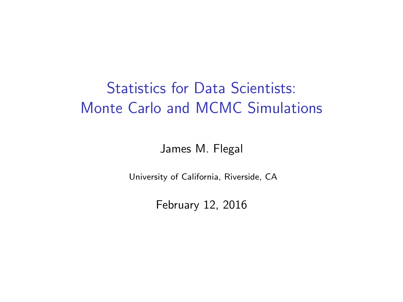# Statistics for Data Scientists: Monte Carlo and MCMC Simulations

James M. Flegal

University of California, Riverside, CA

February 12, 2016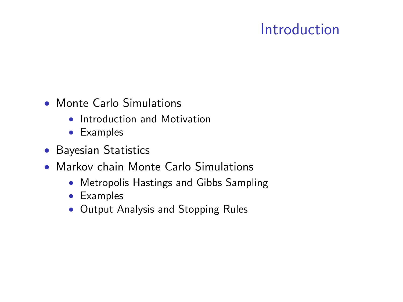# Introduction

- Monte Carlo Simulations
	- Introduction and Motivation
	- Examples
- Bayesian Statistics
- Markov chain Monte Carlo Simulations
	- Metropolis Hastings and Gibbs Sampling
	- Examples
	- Output Analysis and Stopping Rules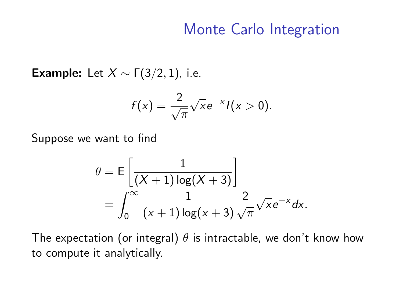Example: Let  $X \sim \Gamma(3/2, 1)$ , i.e.

$$
f(x)=\frac{2}{\sqrt{\pi}}\sqrt{x}e^{-x}I(x>0).
$$

Suppose we want to find

$$
\theta = \mathsf{E}\left[\frac{1}{(X+1)\log(X+3)}\right]
$$
  
= 
$$
\int_0^\infty \frac{1}{(x+1)\log(x+3)} \frac{2}{\sqrt{\pi}} \sqrt{x} e^{-x} dx.
$$

The expectation (or integral)  $\theta$  is intractable, we don't know how to compute it analytically.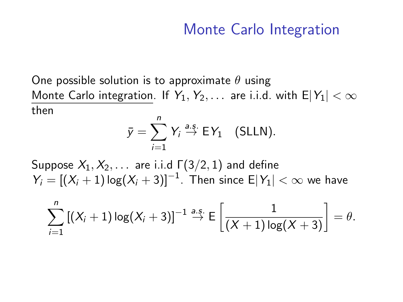One possible solution is to approximate  $\theta$  using Monte Carlo integration. If  $Y_1, Y_2, \ldots$  are i.i.d. with  $E|Y_1| < \infty$ then

$$
\bar{y} = \sum_{i=1}^{n} Y_i \stackrel{a.s.}{\rightarrow} EY_1 \quad \text{(SLLN)}.
$$

Suppose  $X_1, X_2, \ldots$  are i.i.d  $\Gamma(3/2, 1)$  and define  $Y_i = [(X_i + 1) \log(X_i + 3)]^{-1}$ . Then since  $\mathsf{E}|Y_1| < \infty$  we have

$$
\sum_{i=1}^n \left[ (X_i + 1) \log(X_i + 3) \right]^{-1} \stackrel{\text{a.s.}}{\rightarrow} \mathsf{E}\left[ \frac{1}{(X+1) \log(X+3)} \right] = \theta.
$$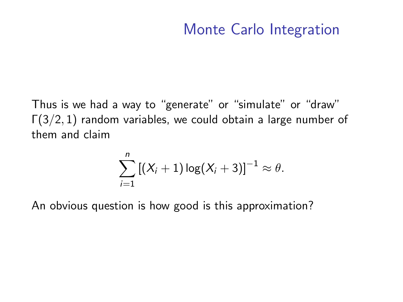Thus is we had a way to "generate" or "simulate" or "draw"  $\Gamma(3/2, 1)$  random variables, we could obtain a large number of them and claim

$$
\sum_{i=1}^n \left[ (X_i + 1) \log(X_i + 3) \right]^{-1} \approx \theta.
$$

An obvious question is how good is this approximation?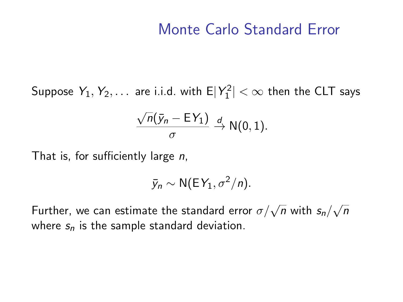## Monte Carlo Standard Error

Suppose  $Y_1, Y_2, \ldots$  are i.i.d. with  $\mathsf{E}|Y_1^2| < \infty$  then the CLT says

$$
\frac{\sqrt{n}(\bar{y}_n - \mathsf{E} Y_1)}{\sigma} \stackrel{d}{\to} \mathsf{N}(0,1).
$$

That is, for sufficiently large n,

$$
\bar{y}_n \sim \mathsf{N}(\mathsf{E} \, Y_1, \sigma^2/n).
$$

Further, we can estimate the standard error  $\sigma/\sqrt{n}$  with  $s_n/$ √ n where  $s_n$  is the sample standard deviation.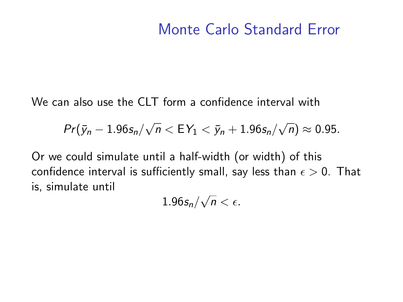## Monte Carlo Standard Error

We can also use the CLT form a confidence interval with

$$
Pr(\bar{y}_n - 1.96s_n/\sqrt{n} < EY_1 < \bar{y}_n + 1.96s_n/\sqrt{n}) \approx 0.95.
$$

Or we could simulate until a half-width (or width) of this confidence interval is sufficiently small, say less than  $\epsilon > 0$ . That is, simulate until √

 $1.96$ s $_{\sf n} /$  $\overline{n}<\epsilon.$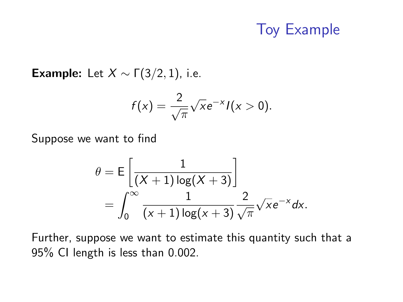# Toy Example

Example: Let  $X \sim \Gamma(3/2, 1)$ , i.e.

$$
f(x)=\frac{2}{\sqrt{\pi}}\sqrt{x}e^{-x}I(x>0).
$$

Suppose we want to find

$$
\theta = \mathsf{E}\left[\frac{1}{(X+1)\log(X+3)}\right]
$$
  
= 
$$
\int_0^\infty \frac{1}{(x+1)\log(x+3)} \frac{2}{\sqrt{\pi}} \sqrt{x} e^{-x} dx.
$$

Further, suppose we want to estimate this quantity such that a 95% CI length is less than 0.002.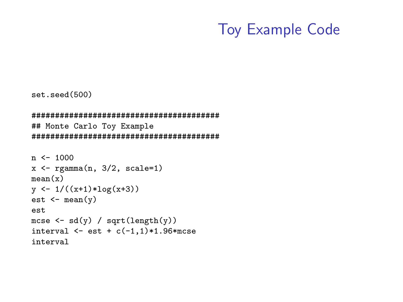## Toy Example Code

```
set.seed(500)
```

```
########################################
## Monte Carlo Toy Example
########################################
```

```
n < -1000x \leftarrow \text{rgamma}(n, 3/2, scale=1)mean(x)y \leftarrow 1/((x+1)*log(x+3))est \leftarrow mean(y)est
mcse \leftarrow sd(y) / sqrt(length(y))
interval \leq - est + c(-1,1) * 1.96 *mcse
interval
```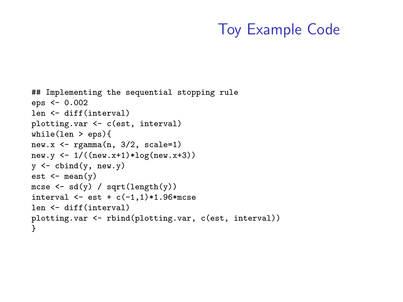# Toy Example Code

```
## Implementing the sequential stopping rule
eps <- 0.002
len <- diff(interval)
plotting.var <- c(est, interval)
while(len > eps){
new.x \leq rgamma(n, 3/2, scale=1)new.y \leftarrow 1/((new.x+1)*log(new.x+3))
y \leftarrow \text{cbind}(y, \text{new}.y)est \leftarrow mean(v)mcse \leftarrow sd(y) / sqrt(length(y))
interval \leq - est + c(-1,1) * 1.96 *mcse
len <- diff(interval)
plotting.var <- rbind(plotting.var, c(est, interval))
}
```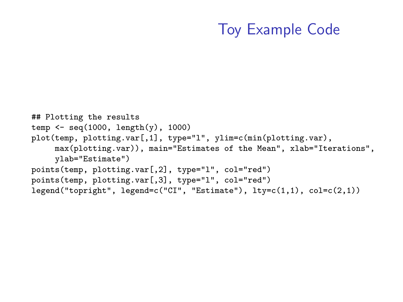# Toy Example Code

```
## Plotting the results
temp \leftarrow seq(1000, length(y), 1000)
plot(temp, plotting.var[,1], type="l", ylim=c(min(plotting.var),
     max(plotting.var)), main="Estimates of the Mean", xlab="Iterations",
     ylab="Estimate")
points(temp, plotting.var[,2], type="l", col="red")
points(temp, plotting.var[,3], type="l", col="red")
legend("topright", legend=c("CI", "Estimate"), lty=c(1,1), col=c(2,1))
```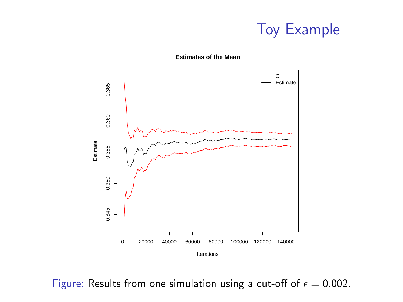



**Estimates of the Mean**

Figure: Results from one simulation using a cut-off of  $\epsilon = 0.002$ .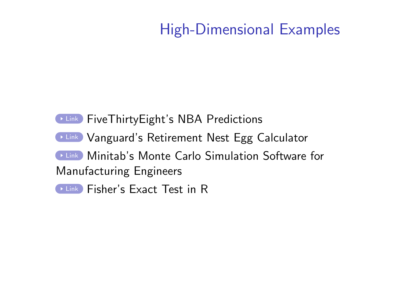# High-Dimensional Examples

## **DEINK FiveThirtyEight's NBA Predictions [Link](https://retirementplans.vanguard.com/VGApp/pe/pubeducation/calculators/RetirementNestEggCalc.jsf) Vanguard's Retirement Nest Egg Calculator ELINK Minitab's Monte Carlo Simulation Software for** Manufacturing Engineers **[Link](https://stat.ethz.ch/R-manual/R-devel/library/stats/html/fisher.test.html)** Fisher's Exact Test in R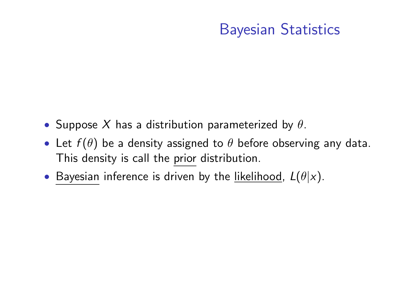- Suppose X has a distribution parameterized by  $\theta$ .
- Let  $f(\theta)$  be a density assigned to  $\theta$  before observing any data. This density is call the prior distribution.
- Bayesian inference is driven by the <u>likelihood,</u>  $L(\theta|x)$ .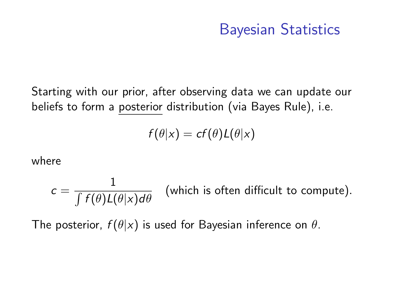Starting with our prior, after observing data we can update our beliefs to form a posterior distribution (via Bayes Rule), i.e.

$$
f(\theta|x) = cf(\theta)L(\theta|x)
$$

where

$$
c = \frac{1}{\int f(\theta)L(\theta|x)d\theta}
$$
 (which is often difficult to compute).

The posterior,  $f(\theta|x)$  is used for Bayesian inference on  $\theta$ .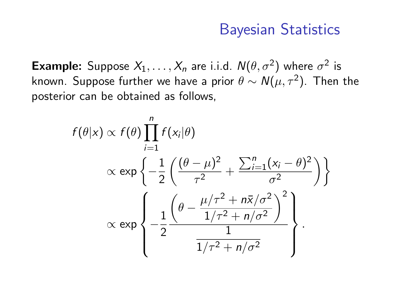**Example:** Suppose  $X_1, \ldots, X_n$  are i.i.d.  $N(\theta, \sigma^2)$  where  $\sigma^2$  is known. Suppose further we have a prior  $\theta \sim \mathcal{N}(\mu, \tau^2)$ . Then the posterior can be obtained as follows,

$$
f(\theta|x) \propto f(\theta) \prod_{i=1}^{n} f(x_i|\theta)
$$
  
 
$$
\propto \exp\left\{-\frac{1}{2} \left(\frac{(\theta - \mu)^2}{\tau^2} + \frac{\sum_{i=1}^{n} (x_i - \theta)^2}{\sigma^2}\right)\right\}
$$
  
 
$$
\propto \exp\left\{-\frac{1}{2} \frac{\left(\theta - \frac{\mu/\tau^2 + n\bar{x}/\sigma^2}{1/\tau^2 + n/\sigma^2}\right)^2}{\frac{1}{1/\tau^2 + n/\sigma^2}}\right\}.
$$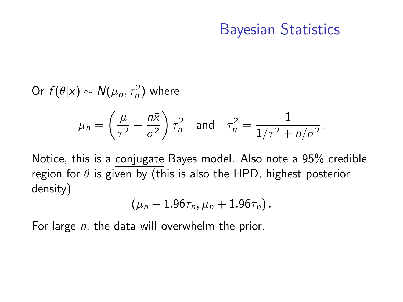Or  $f(\theta|x) \sim N(\mu_n, \tau_n^2)$  where

$$
\mu_n = \left(\frac{\mu}{\tau^2} + \frac{n\bar{x}}{\sigma^2}\right)\tau_n^2 \quad \text{and} \quad \tau_n^2 = \frac{1}{1/\tau^2 + n/\sigma^2}.
$$

Notice, this is a conjugate Bayes model. Also note a 95% credible region for  $\theta$  is given by (this is also the HPD, highest posterior density)

$$
(\mu_n-1.96\tau_n,\mu_n+1.96\tau_n).
$$

For large n, the data will overwhelm the prior.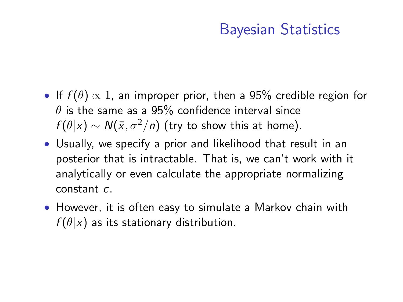- If  $f(\theta) \propto 1$ , an improper prior, then a 95% credible region for  $\theta$  is the same as a 95% confidence interval since  $f(\theta|x) \sim N(\bar{x}, \sigma^2/n)$  (try to show this at home).
- Usually, we specify a prior and likelihood that result in an posterior that is intractable. That is, we can't work with it analytically or even calculate the appropriate normalizing constant c.
- However, it is often easy to simulate a Markov chain with  $f(\theta|x)$  as its stationary distribution.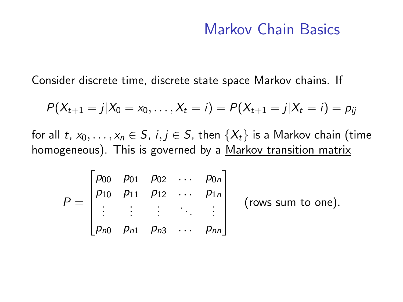Consider discrete time, discrete state space Markov chains. If

$$
P(X_{t+1}=j|X_0=x_0,\ldots,X_t=i)=P(X_{t+1}=j|X_t=i)=p_{ij}
$$

for all t,  $x_0, \ldots, x_n \in S$ ,  $i, j \in S$ , then  $\{X_t\}$  is a Markov chain (time homogeneous). This is governed by a Markov transition matrix

$$
P = \begin{bmatrix} p_{00} & p_{01} & p_{02} & \dots & p_{0n} \\ p_{10} & p_{11} & p_{12} & \dots & p_{1n} \\ \vdots & \vdots & \vdots & \ddots & \vdots \\ p_{n0} & p_{n1} & p_{n3} & \dots & p_{nn} \end{bmatrix}
$$
 (rows sum to one).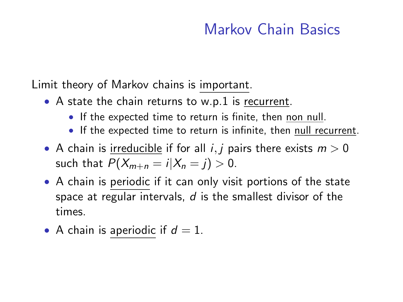Limit theory of Markov chains is important.

- A state the chain returns to w.p.1 is recurrent.
	- If the expected time to return is finite, then non null.
	- If the expected time to return is infinite, then null recurrent.
- A chain is irreducible if for all *i*, *j* pairs there exists  $m > 0$ such that  $P(X_{m+n} = i | X_n = j) > 0$ .
- A chain is periodic if it can only visit portions of the state space at regular intervals,  $d$  is the smallest divisor of the times.
- A chain is aperiodic if  $d = 1$ .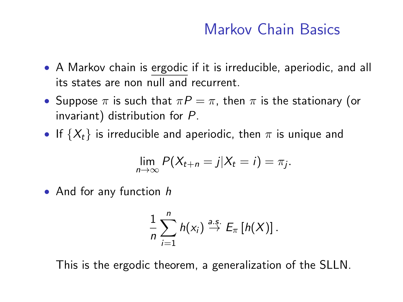- A Markov chain is ergodic if it is irreducible, aperiodic, and all its states are non null and recurrent.
- Suppose  $\pi$  is such that  $\pi P = \pi$ , then  $\pi$  is the stationary (or invariant) distribution for P.
- If  $\{X_t\}$  is irreducible and aperiodic, then  $\pi$  is unique and

$$
\lim_{n\to\infty} P(X_{t+n}=j|X_t=i)=\pi_j.
$$

• And for any function h

$$
\frac{1}{n}\sum_{i=1}^n h(x_i) \stackrel{a.s.}{\to} E_{\pi}[h(X)].
$$

This is the ergodic theorem, a generalization of the SLLN.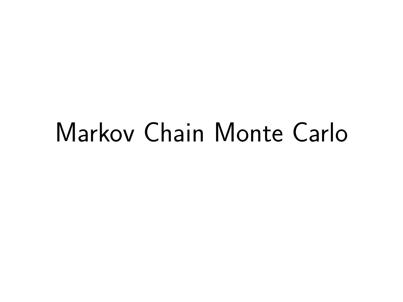# Markov Chain Monte Carlo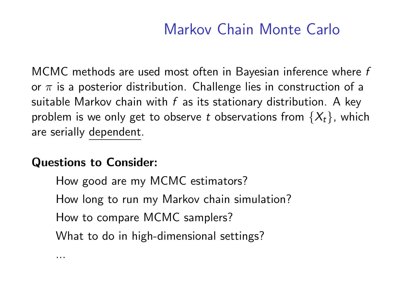# Markov Chain Monte Carlo

MCMC methods are used most often in Bayesian inference where f or  $\pi$  is a posterior distribution. Challenge lies in construction of a suitable Markov chain with  $f$  as its stationary distribution. A key problem is we only get to observe t observations from  $\{X_t\}$ , which are serially dependent.

#### Questions to Consider:

...

How good are my MCMC estimators?

How long to run my Markov chain simulation?

How to compare MCMC samplers?

What to do in high-dimensional settings?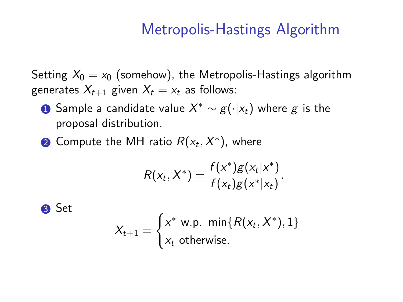## Metropolis-Hastings Algorithm

Setting  $X_0 = x_0$  (somehow), the Metropolis-Hastings algorithm generates  $X_{t+1}$  given  $X_t = x_t$  as follows:

- $\bf{D}$  Sample a candidate value  $X^*\sim g(\cdot|x_t)$  where  $g$  is the proposal distribution.
- $\bar{\textbf{2}}$  Compute the MH ratio  $R(\textit{\textbf{x}}_t, \textit{\textbf{X}}^*)$ , where

$$
R(x_t, X^*) = \frac{f(x^*)g(x_t|x^*)}{f(x_t)g(x^*|x_t)}.
$$

3 Set

$$
X_{t+1} = \begin{cases} x^* \text{ w.p. } \min\{R(x_t, X^*), 1\} \\ x_t \text{ otherwise.} \end{cases}
$$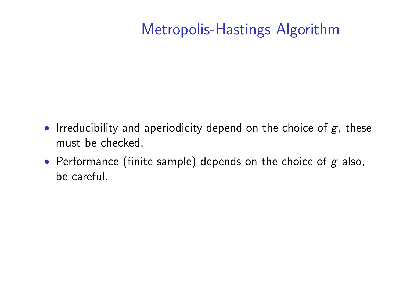# Metropolis-Hastings Algorithm

- Irreducibility and aperiodicity depend on the choice of  $g$ , these must be checked.
- Performance (finite sample) depends on the choice of  $g$  also, be careful.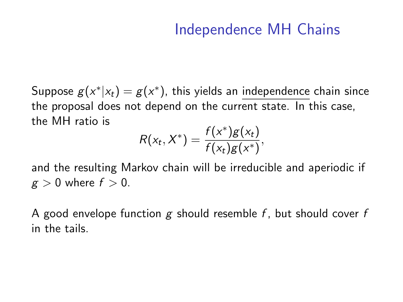# Independence MH Chains

Suppose  $g(x^*|x_t) = g(x^*)$ , this yields an independence chain since the proposal does not depend on the current state. In this case, the MH ratio is

$$
R(x_t, X^*) = \frac{f(x^*)g(x_t)}{f(x_t)g(x^*)},
$$

and the resulting Markov chain will be irreducible and aperiodic if  $g > 0$  where  $f > 0$ .

A good envelope function g should resemble f, but should cover f in the tails.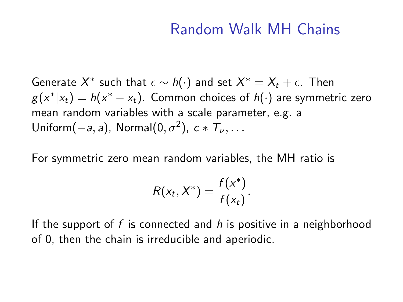#### Random Walk MH Chains

Generate  $X^*$  such that  $\epsilon \sim \mathit{h}(\cdot)$  and set  $X^* = X_t + \epsilon$ . Then  $g(x^*|x_t)=h(x^*-x_t)$ . Common choices of  $h(\cdot)$  are symmetric zero mean random variables with a scale parameter, e.g. a Uniform $(-a, a)$ , Normal $(0, \sigma^2)$ ,  $c * T_{\nu}, \ldots$ 

For symmetric zero mean random variables, the MH ratio is

$$
R(x_t, X^*) = \frac{f(x^*)}{f(x_t)}.
$$

If the support of f is connected and  $h$  is positive in a neighborhood of 0, then the chain is irreducible and aperiodic.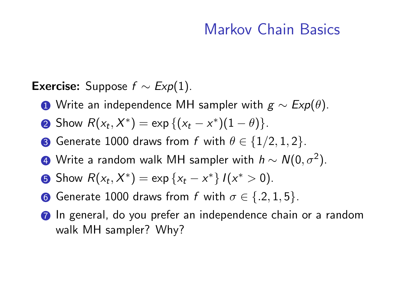**Exercise:** Suppose  $f \sim Exp(1)$ .

- **1** Write an independence MH sampler with  $g \sim Exp(\theta)$ .
- 2 Show  $R(x_t, X^*) = \exp \{(x_t x^*)(1 \theta)\}.$
- **3** Generate 1000 draws from f with  $\theta \in \{1/2, 1, 2\}$ .
- 4) Write a random walk MH sampler with  $h \sim \mathcal{N}(0,\sigma^2).$
- **5** Show  $R(x_t, X^*) = \exp\{x_t x^*\} I(x^*) > 0$ .
- **6** Generate 1000 draws from f with  $\sigma \in \{.2, 1, 5\}.$
- **7** In general, do you prefer an independence chain or a random walk MH sampler? Why?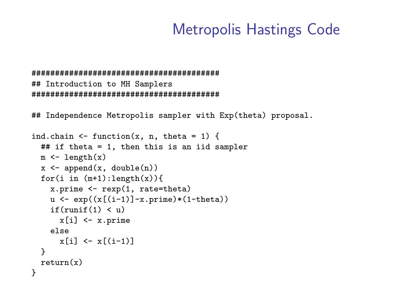```
########################################
## Introduction to MH Samplers
########################################
```
## Independence Metropolis sampler with Exp(theta) proposal.

```
ind.chain \leq function(x, n, theta = 1) {
  ## if theta = 1, then this is an iid sampler
  m \leq -\operatorname{length}(x)x \leftarrow append(x, \text{ double}(n))for(i in (m+1):length(x)){
    x.prime \leftarrow rexp(1, rate=theta)
    u \leftarrow \exp((x[(i-1)]-x.\text{prime)*(1 theta}))if(runif(1) < u)x[i] <- x.prime
    else
       x[i] \leftarrow x[(i-1)]}
  return(x)}
```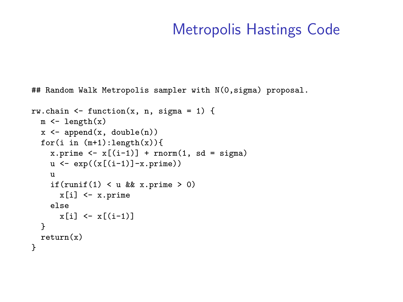## Random Walk Metropolis sampler with N(0, sigma) proposal.

```
rw.chain \leq function(x, n, sigma = 1) {
  m \leftarrow length(x)x \leftarrow append(x, \text{ double}(n))for(i in (m+1):length(x)){
     x.prime \leftarrow x[(i-1)] + rnorm(1, sd = sigma)u \leftarrow \exp((x[(i-1)]-x.\text{prime}))u
     if(runif(1) \langle u \times x \rangle when \langle v \ranglex[i] <- x.prime
     else
       x[i] <- x[(i-1)]}
  return(x)}
```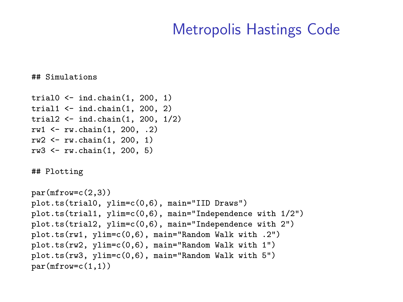## Simulations

```
trial0 <- ind.chain(1, 200, 1)
trial1 \leftarrow ind.chain(1, 200, 2)trial2 <- ind.chain(1, 200, 1/2)
rw1 \leftarrow rw.\text{chain}(1, 200, .2)rw2 \le -rw \cdot chain(1, 200, 1)rw3 <- rw.chain(1, 200, 5)
```
## Plotting

```
par(mfrow=c(2,3))plot.ts(trial0, ylim=c(0,6), main="IID Draws")
plot.ts(trial1, ylim=c(0,6), main="Independence with 1/2")
plot.ts(trial2, ylim=c(0,6), main="Independence with 2")
plot.ts(rw1, ylim=c(0,6), main="Random Walk with .2")
plot.ts(rw2, ylim=c(0,6), main="Random Walk with 1")
plot.ts(rw3, ylim=c(0,6), main="Random Walk with 5")
par(mfrow=c(1,1))
```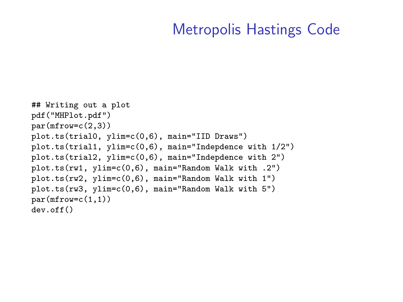```
## Writing out a plot
pdf("MHPlot.pdf")
par(mfrow=c(2,3))plot.ts(trial0, ylim=c(0,6), main="IID Draws")
plot.ts(trial1, ylim=c(0,6), main="Indepdence with 1/2")
plot.ts(trial2, ylim=c(0,6), main="Indepdence with 2")
plot.ts(rw1, ylim=c(0,6), main="Random Walk with .2")
plot.ts(rw2, ylim=c(0,6), main="Random Walk with 1")
plot.ts(rw3, ylim=c(0,6), main="Random Walk with 5")
par(mfrow=c(1,1))dev.off()
```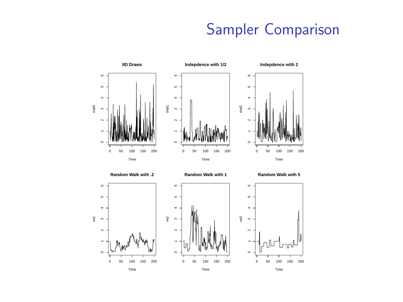# Sampler Comparison

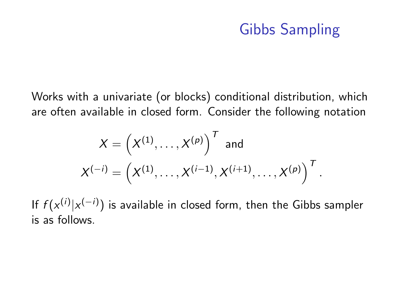# Gibbs Sampling

.

Works with a univariate (or blocks) conditional distribution, which are often available in closed form. Consider the following notation

$$
X = \left(X^{(1)}, \ldots, X^{(p)}\right)^T \text{ and}
$$

$$
X^{(-i)} = \left(X^{(1)}, \ldots, X^{(i-1)}, X^{(i+1)}, \ldots, X^{(p)}\right)^T
$$

If  $f(x^{(i)}|x^{(-i)})$  is available in closed form, then the Gibbs sampler is as follows.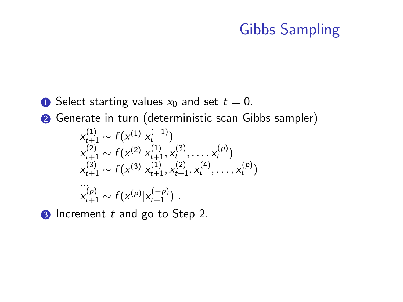# Gibbs Sampling

- **1** Select starting values  $x_0$  and set  $t = 0$ .
- <sup>2</sup> Generate in turn (deterministic scan Gibbs sampler)

$$
x_{t+1}^{(1)} \sim f(x^{(1)}|x_t^{(-1)})
$$
  
\n
$$
x_{t+1}^{(2)} \sim f(x^{(2)}|x_{t+1}^{(1)}, x_t^{(3)}, \dots, x_t^{(p)})
$$
  
\n
$$
x_{t+1}^{(3)} \sim f(x^{(3)}|x_{t+1}^{(1)}, x_{t+1}^{(2)}, x_t^{(4)}, \dots, x_t^{(p)})
$$
  
\n
$$
x_{t+1}^{(p)} \sim f(x^{(p)}|x_{t+1}^{(-p)})
$$

**3** Increment t and go to Step 2.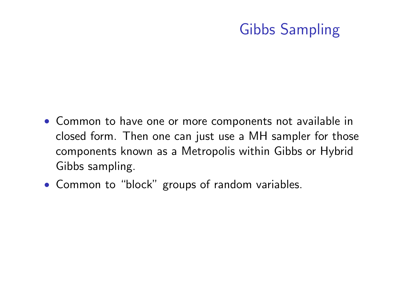# Gibbs Sampling

- Common to have one or more components not available in closed form. Then one can just use a MH sampler for those components known as a Metropolis within Gibbs or Hybrid Gibbs sampling.
- Common to "block" groups of random variables.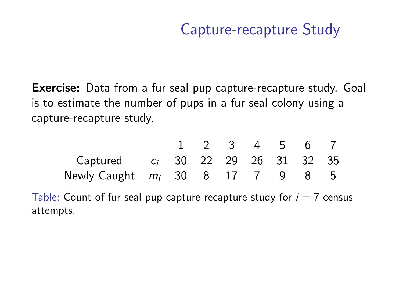Exercise: Data from a fur seal pup capture-recapture study. Goal is to estimate the number of pups in a fur seal colony using a capture-recapture study.

|                                                                         |                                                                           |  |  |  |  |  |  | 1 2 3 4 5 6 7 |  |  |
|-------------------------------------------------------------------------|---------------------------------------------------------------------------|--|--|--|--|--|--|---------------|--|--|
|                                                                         |                                                                           |  |  |  |  |  |  |               |  |  |
|                                                                         | Captured $c_i$ 30 22 29 26 31 32 35<br>Newly Caught $m_i$ 30 8 17 7 9 8 5 |  |  |  |  |  |  |               |  |  |
| Table: Count of fur seal pup capture-recapture study for $i = 7$ census |                                                                           |  |  |  |  |  |  |               |  |  |
| attempts.                                                               |                                                                           |  |  |  |  |  |  |               |  |  |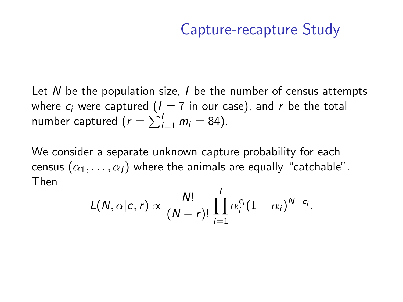Let N be the population size,  $I$  be the number of census attempts where  $c_i$  were captured ( $I = 7$  in our case), and r be the total number captured ( $r = \sum_{i=1}^{I} m_i = 84$ ).

We consider a separate unknown capture probability for each census  $(\alpha_1, \ldots, \alpha_l)$  where the animals are equally "catchable". Then

$$
L(N, \alpha | c, r) \propto \frac{N!}{(N-r)!} \prod_{i=1}^l \alpha_i^{c_i} (1-\alpha_i)^{N-c_i}.
$$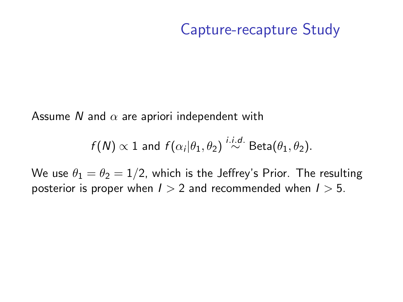Assume N and  $\alpha$  are apriori independent with

$$
f(N) \propto 1
$$
 and  $f(\alpha_i|\theta_1, \theta_2) \stackrel{i.i.d.}{\sim} \text{Beta}(\theta_1, \theta_2)$ .

We use  $\theta_1 = \theta_2 = 1/2$ , which is the Jeffrey's Prior. The resulting posterior is proper when  $1 > 2$  and recommended when  $1 > 5$ .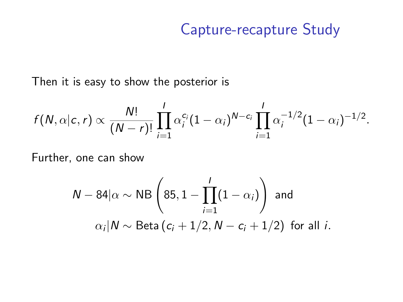Then it is easy to show the posterior is

$$
f(N, \alpha | c, r) \propto \frac{N!}{(N-r)!} \prod_{i=1}^l \alpha_i^{c_i} (1-\alpha_i)^{N-c_i} \prod_{i=1}^l \alpha_i^{-1/2} (1-\alpha_i)^{-1/2}.
$$

Further, one can show

$$
N - 84|\alpha \sim NB\left(85, 1 - \prod_{i=1}^{I} (1 - \alpha_i)\right) \text{ and}
$$

$$
\alpha_i | N \sim \text{Beta}(c_i + 1/2, N - c_i + 1/2) \text{ for all } i.
$$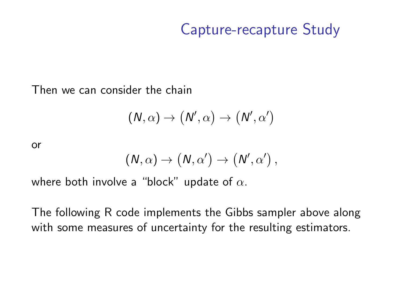Then we can consider the chain

$$
(\mathsf{N},\alpha)\to\big(\mathsf{N}',\alpha\big)\to\big(\mathsf{N}',\alpha'\big)
$$

or

$$
(N,\alpha)\to (N,\alpha')\to (N',\alpha')\,,
$$

where both involve a "block" update of  $\alpha$ .

The following R code implements the Gibbs sampler above along with some measures of uncertainty for the resulting estimators.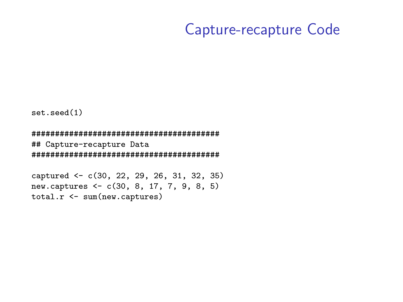set.seed(1)

######################################## ## Capture-recapture Data ########################################

captured <- c(30, 22, 29, 26, 31, 32, 35) new.captures <- c(30, 8, 17, 7, 9, 8, 5) total.r <- sum(new.captures)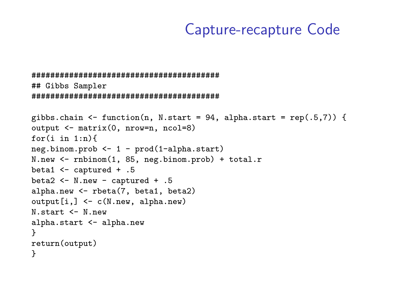```
########################################
## Gibbs Sampler
########################################
```

```
gibbs.chain \leq function(n, N.start = 94, alpha.start = rep(.5,7)) {
output <- matrix(0, nrow=n, ncol=8)
for(i \in 1:n)neg.binom.prob <- 1 - prod(1-alpha.start)
N.new <- rnbinom(1, 85, neg.binom.prob) + total.r
beta1 <- captured + .5
beta2 <- N.new - captured + .5
alpha.new <- rbeta(7, beta1, beta2)
output[i,] <- c(N.new, alpha.new)
N.start <- N.new
alpha.start <- alpha.new
}
return(output)
}
```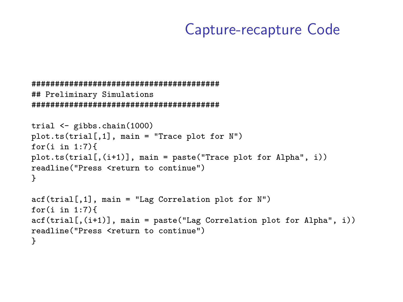```
########################################
## Preliminary Simulations
########################################
trial <- gibbs.chain(1000)
plot.ts(trial[,1], main = "Trace plot for N")
for(i in 1:7)plot.ts(trial[,(i+1)], main = paste("Trace plot for Alpha", i))
readline("Press <return to continue")
}
\text{act}(\text{trial}[,1], main = "Lag Correlation plot for N")
for(i in 1:7)\text{act}(\text{trial}[,(\text{i+1})], main = paste("Lag Correlation plot for Alpha", i))
readline("Press <return to continue")
}
```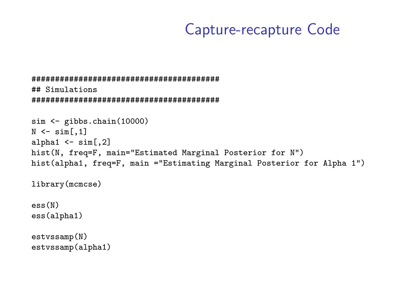```
########################################
## Simulations
########################################
```

```
sim <- gibbs.chain(10000)
N < - \sin[.1]alpha1 \leq sim[,2]
hist(N, freq=F, main="Estimated Marginal Posterior for N")
hist(alpha1, freq=F, main ="Estimating Marginal Posterior for Alpha 1")
```
library(mcmcse)

ess(N) ess(alpha1)

estvssamp(N) estvssamp(alpha1)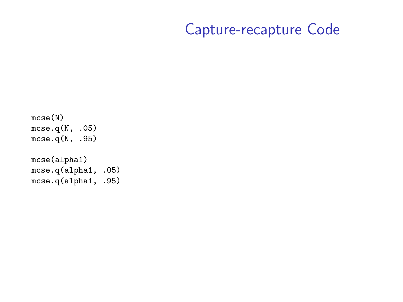```
mcse(N)
mcse.q(N, .05)
mcse.q(N, .95)
```
mcse(alpha1) mcse.q(alpha1, .05) mcse.q(alpha1, .95)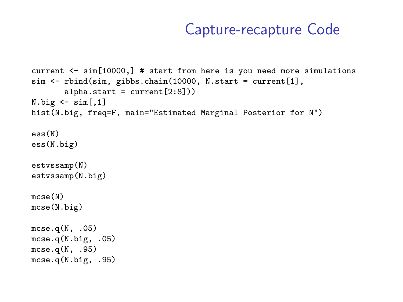```
current <- sim[10000,] # start from here is you need more simulations
sim <- rbind(sim, gibbs.chain(10000, N.start = current[1],
       alpha.start = current[2:8]))N.big \leftarrow \text{sim}[,1]hist(N.big, freq=F, main="Estimated Marginal Posterior for N")
ess(N)
ess(N.big)
estvssamp(N)
estvssamp(N.big)
mcse(N)
mcse(N.big)
mcse.q(N, .05)mcse.q(N.big, .05)
mcse.q(N, .95)mcse.q(N.big, .95)
```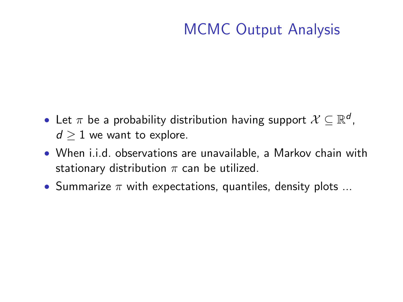# MCMC Output Analysis

- Let  $\pi$  be a probability distribution having support  $\mathcal{X} \subseteq \mathbb{R}^d$ ,  $d \geq 1$  we want to explore.
- When i.i.d. observations are unavailable, a Markov chain with stationary distribution  $\pi$  can be utilized.
- Summarize  $\pi$  with expectations, quantiles, density plots ...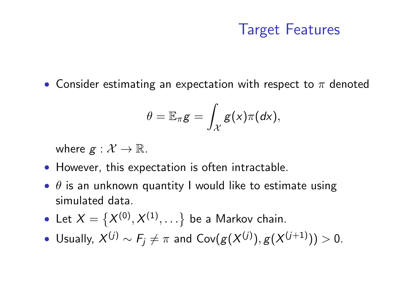## Target Features

• Consider estimating an expectation with respect to  $\pi$  denoted

$$
\theta = \mathbb{E}_{\pi} g = \int_{\mathcal{X}} g(x) \pi(dx),
$$

where  $g : \mathcal{X} \to \mathbb{R}$ .

- However, this expectation is often intractable.
- $\theta$  is an unknown quantity I would like to estimate using simulated data.
- Let  $X = \{X^{(0)}, X^{(1)}, \ldots\}$  be a Markov chain.
- $\bullet$  Usually,  $X^{(j)} \sim F_j \neq \pi$  and Cov $(g(X^{(j)}), g(X^{(j+1)})) > 0$ .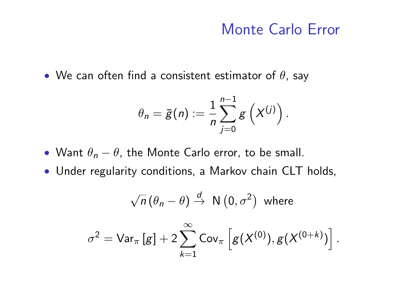## Monte Carlo Error

• We can often find a consistent estimator of  $\theta$ , say

$$
\theta_n = \bar{g}(n) := \frac{1}{n} \sum_{j=0}^{n-1} g\left(X^{(j)}\right).
$$

- Want  $\theta_n \theta$ , the Monte Carlo error, to be small.
- Under regularity conditions, a Markov chain CLT holds,

$$
\sqrt{n} (\theta_n - \theta) \stackrel{d}{\rightarrow} N(0, \sigma^2) \text{ where}
$$

$$
\sigma^2 = \text{Var}_{\pi}[g] + 2 \sum_{k=1}^{\infty} \text{Cov}_{\pi} [g(X^{(0)}), g(X^{(0+k)})].
$$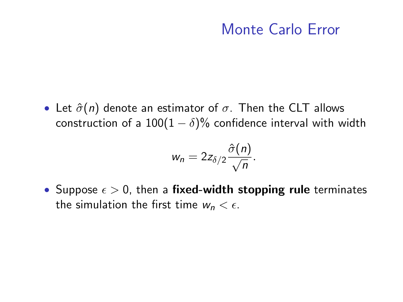## Monte Carlo Error

• Let  $\hat{\sigma}(n)$  denote an estimator of  $\sigma$ . Then the CLT allows construction of a  $100(1 - \delta)\%$  confidence interval with width

$$
w_n=2z_{\delta/2}\frac{\hat{\sigma}(n)}{\sqrt{n}}.
$$

• Suppose  $\epsilon > 0$ , then a fixed-width stopping rule terminates the simulation the first time  $w_n < \epsilon$ .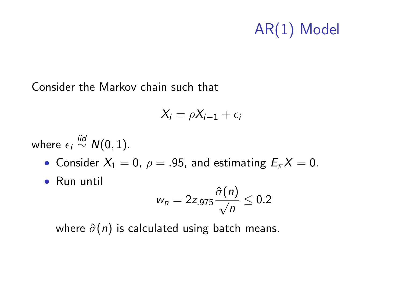# AR(1) Model

Consider the Markov chain such that

$$
X_i = \rho X_{i-1} + \epsilon_i
$$

where  $\epsilon_i \stackrel{iid}{\sim} N(0,1)$ .

• Consider  $X_1 = 0$ ,  $\rho = .95$ , and estimating  $E_{\pi}X = 0$ .

• Run until

$$
w_n = 2z_{.975} \frac{\hat{\sigma}(n)}{\sqrt{n}} \leq 0.2
$$

where  $\hat{\sigma}(n)$  is calculated using batch means.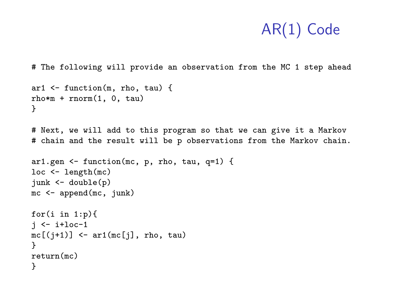# The following will provide an observation from the MC 1 step ahead

```
ar1 <- function(m, rho, tau) {
rho*m + rnorm(1, 0, \text{tau})}
# Next, we will add to this program so that we can give it a Markov
# chain and the result will be p observations from the Markov chain.
ar1.gen \leq function(mc, p, rho, tau, q=1) {
loc <- length(mc)
junk <- double(p)
mc <- append(mc, junk)
for(i in 1:p){
i \leftarrow i+loc-1mc[(j+1)] \leftarrow ar1(mc[j], rho, tau)}
return(mc)
}
```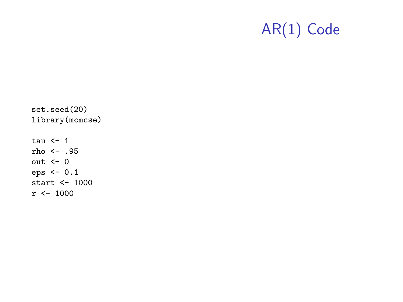set.seed(20) library(mcmcse) tau  $\leftarrow$  1 rho <- .95 out  $<-0$ eps <- 0.1 start <- 1000  $r$  <- 1000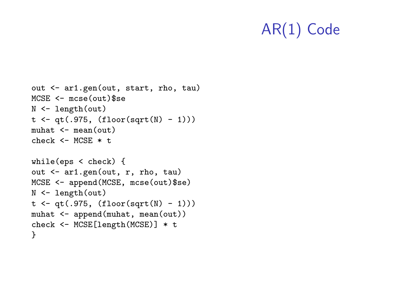```
out <- ar1.gen(out, start, rho, tau)
MCSE <- mcse(out)$se
N <- length(out)
t \leftarrow qt(.975, (floor(sqrt(N) - 1)))muhat \leq mean(\text{out})
check < - MCSE * t
while(eps < check) {
out <- ar1.gen(out, r, rho, tau)
MCSE <- append(MCSE, mcse(out)$se)
N <- length(out)
t \leftarrow qt(.975, (floor(sqrt(N) - 1)))muhat <- append(muhat, mean(out))
check <- MCSE[length(MCSE)] * t
}
```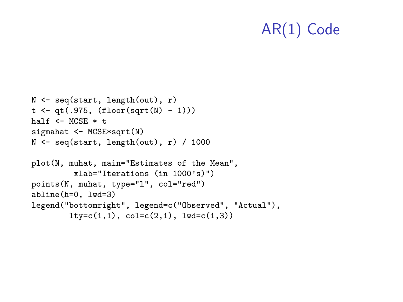```
N <- seq(start, length(out), r)
t \leftarrow qt(.975, (floor(sqrt(N) - 1)))half \leq- MCSE * t.
sigmahat <- MCSE*sqrt(N)
N \leftarrow \text{seq}(\text{start}, \text{length}(\text{out}), r) / 1000
plot(N, muhat, main="Estimates of the Mean",
          xlab="Iterations (in 1000's)")
points(N, muhat, type="l", col="red")
abline(h=0, lwd=3)
legend("bottomright", legend=c("Observed", "Actual"),
         lty=c(1,1), col=c(2,1), lwd=c(1,3))
```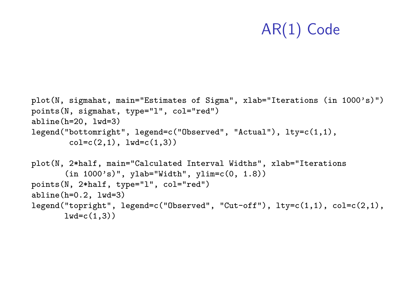```
plot(N, sigmahat, main="Estimates of Sigma", xlab="Iterations (in 1000's)")
points(N, sigmahat, type="l", col="red")
abline(h=20, lwd=3)
legend("bottomright", legend=c("Observed", "Actual"), lty=c(1,1),
        col = c(2,1), \frac{1}{wd} = c(1,3)plot(N, 2*half, main="Calculated Interval Widths", xlab="Iterations
       (in 1000's)", ylab="Width", ylim=c(0, 1.8))
points(N, 2*half, type="l", col="red")
abline(h=0.2, lwd=3)
legend("topright", legend=c("Observed", "Cut-off"), lty=c(1,1), col=c(2,1),
       lwd=c(1,3))
```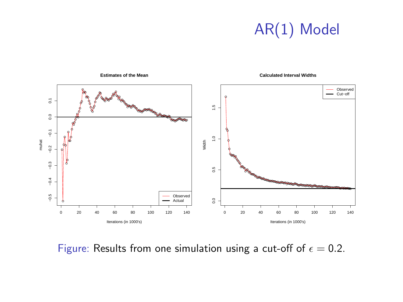# AR(1) Model



Figure: Results from one simulation using a cut-off of  $\epsilon = 0.2$ .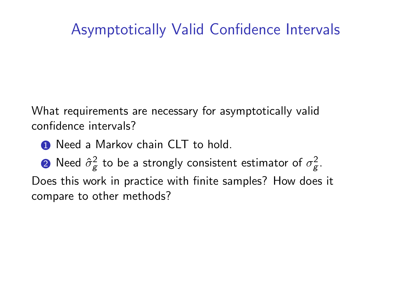# Asymptotically Valid Confidence Intervals

What requirements are necessary for asymptotically valid confidence intervals?

- **1** Need a Markov chain CLT to hold.
- $\textbf{2}$  Need  $\hat{\sigma}_{\text{\scriptsize g}}^2$  to be a strongly consistent estimator of  $\sigma_{\text{\scriptsize g}}^2$ .

Does this work in practice with finite samples? How does it compare to other methods?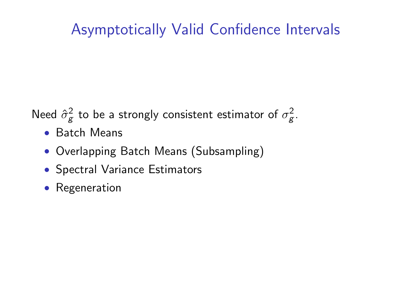# Asymptotically Valid Confidence Intervals

Need  $\hat{\sigma}_{g}^{2}$  to be a strongly consistent estimator of  $\sigma_{g}^{2}$ .

- Batch Means
- Overlapping Batch Means (Subsampling)
- Spectral Variance Estimators
- Regeneration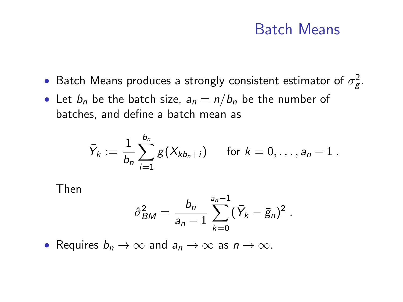## Batch Means

- Batch Means produces a strongly consistent estimator of  $\sigma_{\mathcal{g}}^2$ .
- Let  $b_n$  be the batch size,  $a_n = n/b_n$  be the number of batches, and define a batch mean as

$$
\bar{Y}_k := \frac{1}{b_n} \sum_{i=1}^{b_n} g(X_{kb_n+i}) \quad \text{for } k = 0, \ldots, a_n - 1.
$$

Then

$$
\hat{\sigma}_{BM}^2 = \frac{b_n}{a_n-1} \sum_{k=0}^{a_n-1} (\bar{Y}_k - \bar{g}_n)^2.
$$

• Requires  $b_n \to \infty$  and  $a_n \to \infty$  as  $n \to \infty$ .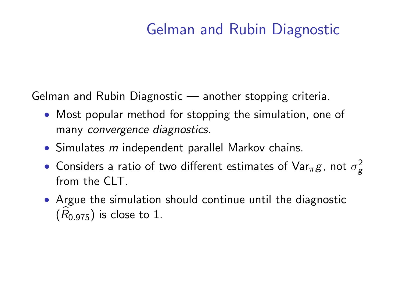# Gelman and Rubin Diagnostic

Gelman and Rubin Diagnostic — another stopping criteria.

- Most popular method for stopping the simulation, one of many convergence diagnostics.
- Simulates  $m$  independent parallel Markov chains.
- $\bullet$  Considers a ratio of two different estimates of Var $_\pi g$ , not  $\sigma_g^2$ from the CLT
- Argue the simulation should continue until the diagnostic  $(R<sub>0.975</sub>)$  is close to 1.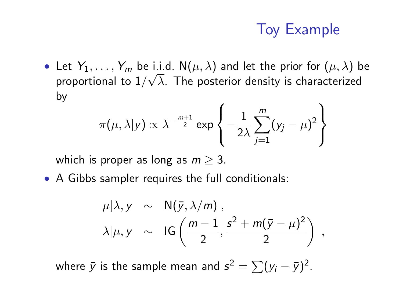# Toy Example

• Let  $Y_1, \ldots, Y_m$  be i.i.d.  $N(\mu, \lambda)$  and let the prior for  $(\mu, \lambda)$  be proportional to  $1/\sqrt{\lambda}$ . The posterior density is characterized by

$$
\pi(\mu, \lambda | y) \propto \lambda^{-\frac{m+1}{2}} \exp \left\{-\frac{1}{2\lambda} \sum_{j=1}^{m} (y_j - \mu)^2\right\}
$$

which is proper as long as  $m > 3$ .

• A Gibbs sampler requires the full conditionals:

$$
\mu|\lambda, y \sim N(\bar{y}, \lambda/m),
$$
  

$$
\lambda|\mu, y \sim IG\left(\frac{m-1}{2}, \frac{s^2 + m(\bar{y} - \mu)^2}{2}\right),
$$

where  $\bar{y}$  is the sample mean and  $s^2 = \sum (y_i - \bar{y})^2.$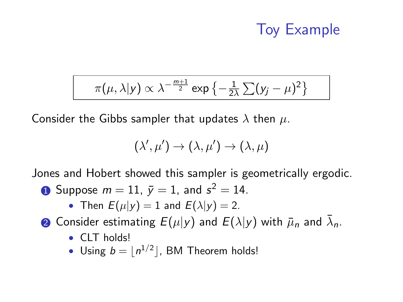# Toy Example

$$
\pi(\mu,\lambda|y) \propto \lambda^{-\frac{m+1}{2}} \exp\left\{-\frac{1}{2\lambda}\sum_{j} (y_j - \mu)^2\right\}
$$

Consider the Gibbs sampler that updates  $\lambda$  then  $\mu$ .

$$
(\lambda',\mu')\to(\lambda,\mu')\to(\lambda,\mu)
$$

Jones and Hobert showed this sampler is geometrically ergodic.

- $\textbf{0}$  Suppose  $m=11,~\bar{y}=1,$  and  $s^2=14.$ 
	- Then  $E(\mu|\mathbf{v}) = 1$  and  $E(\lambda|\mathbf{v}) = 2$ .
- $\bar{\bf 2}$  Consider estimating  $E(\mu|{\bf y})$  and  $\bar{\cal L}(\lambda|{\bf y})$  with  $\bar\mu_n$  and  $\bar\lambda_n.$ 
	- CLT holds!
	- Using  $b = |n^{1/2}|$ , BM Theorem holds!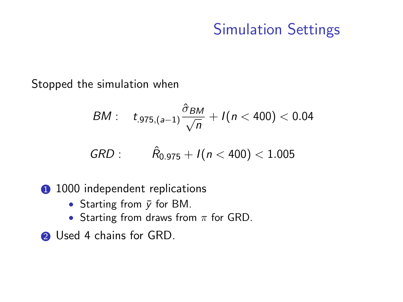# Simulation Settings

Stopped the simulation when

$$
BM: \quad t_{.975,(a-1)}\frac{\hat{\sigma}_{BM}}{\sqrt{n}}+I(n<400)<0.04
$$

$$
GRD: \qquad \hat{R}_{0.975} + I(n < 400) < 1.005
$$

- **1000** independent replications
	- Starting from  $\bar{y}$  for BM.
	- Starting from draws from  $\pi$  for GRD.
- **2** Used 4 chains for GRD.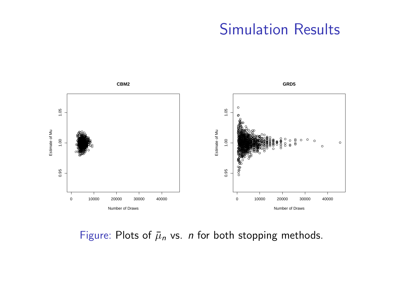## **Simulation Results**



Figure: Plots of  $\bar{\mu}_n$  vs. *n* for both stopping methods.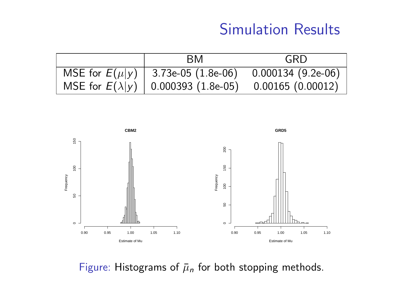# Simulation Results

|                    | <b>BM</b>                                   | GRD                 |
|--------------------|---------------------------------------------|---------------------|
| MSE for $E(\mu y)$ | $3.73e-05(1.8e-06)$                         | $0.000134(9.2e-06)$ |
|                    | MSE for $E(\lambda y)$   0.000393 (1.8e-05) | 0.00165(0.00012)    |



Figure: Histograms of  $\bar{\mu}_n$  for both stopping methods.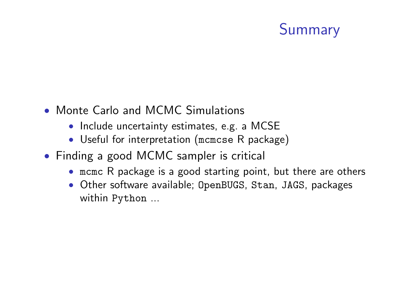# Summary

- Monte Carlo and MCMC Simulations
	- Include uncertainty estimates, e.g. a MCSE
	- Useful for interpretation (mcmcse R package)
- Finding a good MCMC sampler is critical
	- mcmc R package is a good starting point, but there are others
	- Other software available; OpenBUGS, Stan, JAGS, packages within Python ...